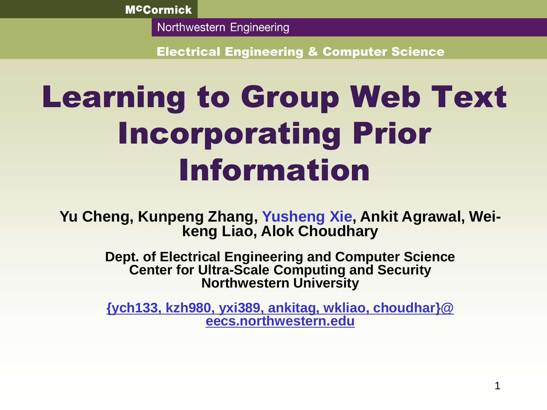Northwestern Engineering

Electrical Engineering & Computer Science

# Learning to Group Web Text Incorporating Prior Information

**Yu Cheng, Kunpeng Zhang, Yusheng Xie, Ankit Agrawal, Weikeng Liao, Alok Choudhary**

> **Dept. of Electrical Engineering and Computer Science Center for Ultra-Scale Computing and Security Northwestern University**

> **{ych133, kzh980, yxi389, ankitag, wkliao, choudhar}@ eecs.northwestern.edu**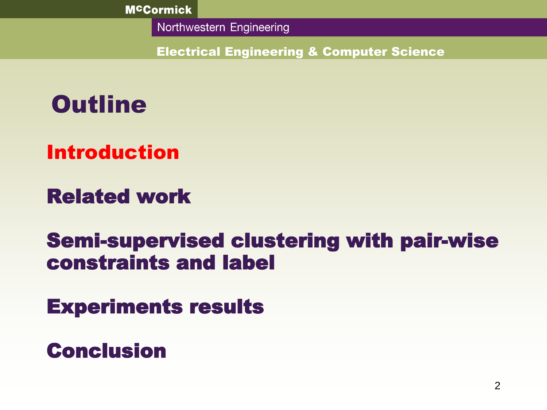Northwestern Engineering

Electrical Engineering & Computer Science

## **Outline**

Introduction

Related work

## Semi-supervised clustering with pair-wise constraints and label

Experiments results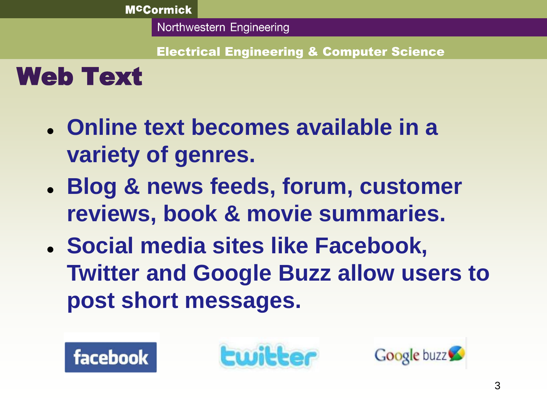Electrical Engineering & Computer Science

Web Text

- **Online text becomes available in a variety of genres.**
- **Blog & news feeds, forum, customer reviews, book & movie summaries.**
- **Social media sites like Facebook, Twitter and Google Buzz allow users to post short messages.**



**Ewitter** 

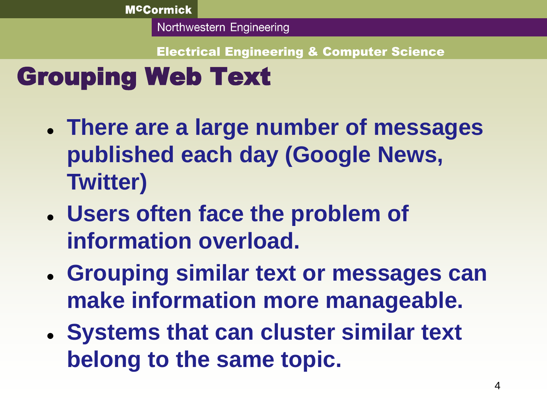Electrical Engineering & Computer Science

## Grouping Web Text

- **There are a large number of messages published each day (Google News, Twitter)**
- **Users often face the problem of information overload.**
- **Grouping similar text or messages can make information more manageable.**
- **Systems that can cluster similar text belong to the same topic.**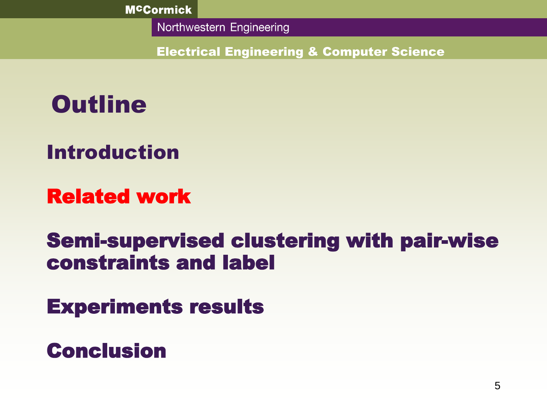Northwestern Engineering

Electrical Engineering & Computer Science

## **Outline**

Introduction

## Related work

## Semi-supervised clustering with pair-wise constraints and label

Experiments results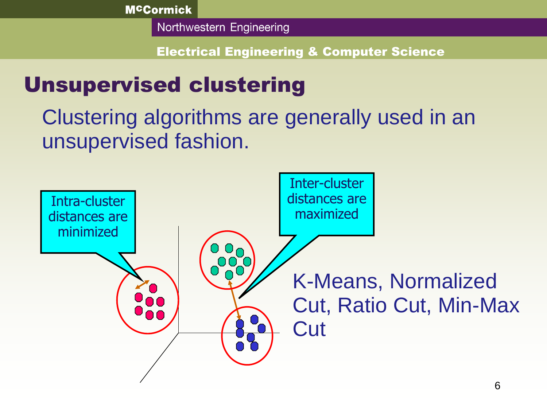Northwestern Engineering

Electrical Engineering & Computer Science

## Unsupervised clustering

Clustering algorithms are generally used in an unsupervised fashion.

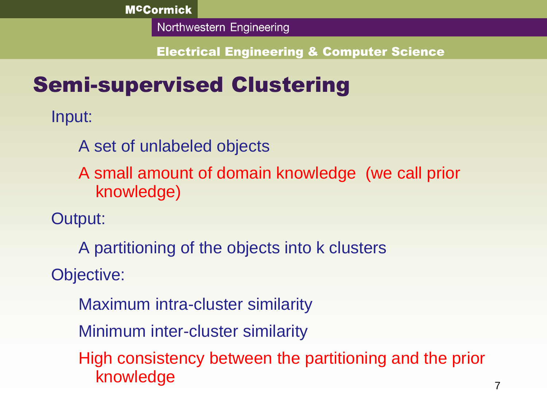Northwestern Engineering

Electrical Engineering & Computer Science

## Semi-supervised Clustering

Input:

A set of unlabeled objects

A small amount of domain knowledge (we call prior knowledge)

Output:

A partitioning of the objects into k clusters

Objective:

Maximum intra-cluster similarity

Minimum inter-cluster similarity

High consistency between the partitioning and the prior knowledge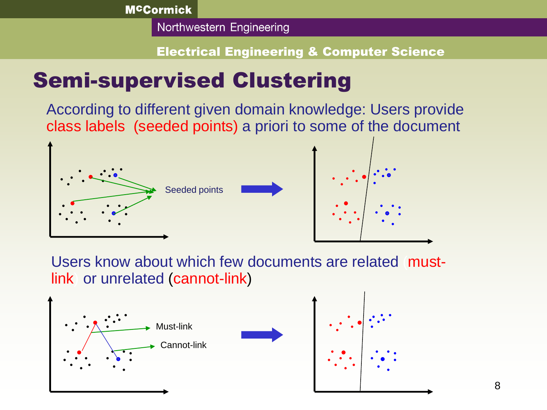Northwestern Engineering

#### Electrical Engineering & Computer Science

## Semi-supervised Clustering

According to different given domain knowledge: Users provide class labels (seeded points) a priori to some of the document



Users know about which few documents are related (mustlink) or unrelated (cannot-link)





8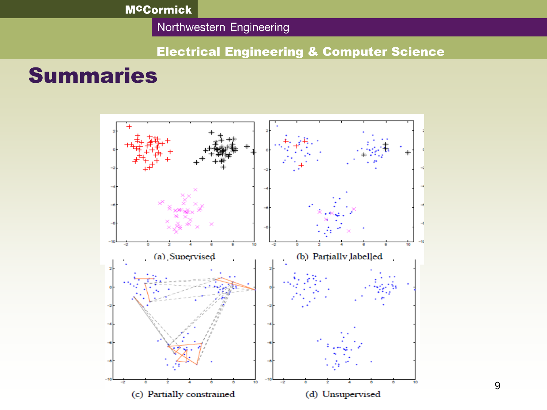Northwestern Engineering

#### Electrical Engineering & Computer Science

### Summaries

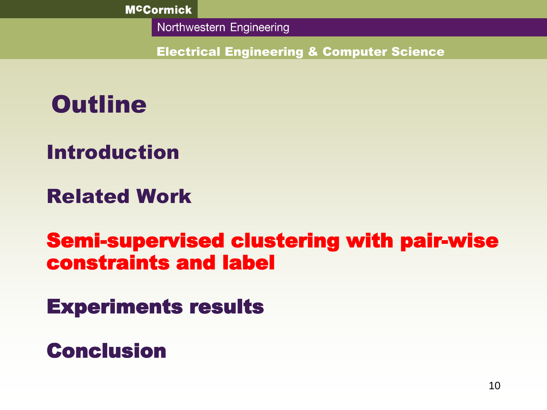Northwestern Engineering

Electrical Engineering & Computer Science

## **Outline**

## Introduction

## Related Work

## Semi-supervised clustering with pair-wise constraints and label

Experiments results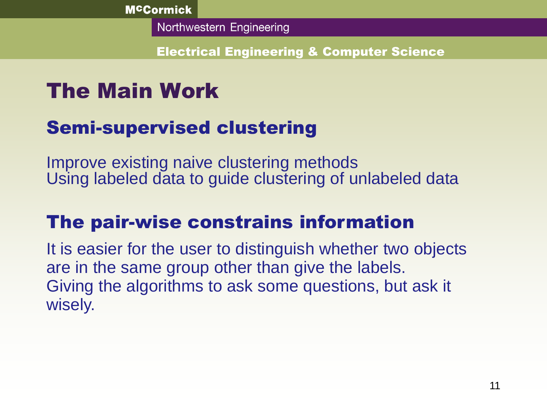Electrical Engineering & Computer Science

## The Main Work

## Semi-supervised clustering

Improve existing naive clustering methods Using labeled data to guide clustering of unlabeled data

## The pair-wise constrains information

It is easier for the user to distinguish whether two objects are in the same group other than give the labels. Giving the algorithms to ask some questions, but ask it wisely.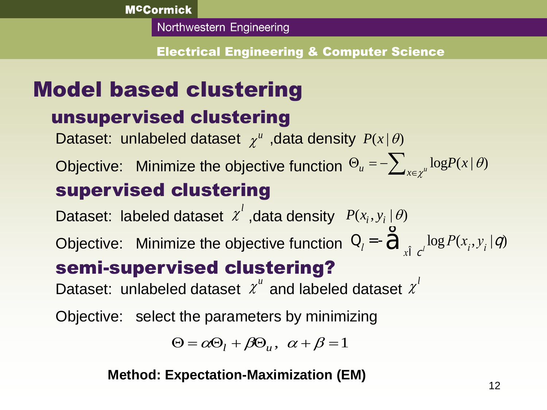Electrical Engineering & Computer Science

## Model based clustering

## unsupervised clustering

i<br>Li

Dataset: unlabeled dataset  $\chi^u$ , data density  $P(x | \theta)$ 

Objective: Minimize the objective function  $\Theta_u = -\sum_{x \in \chi^u} \log \! P(x \, | \, \theta)$ supervised clustering χ  $\theta$  $\Theta_u = -\sum\nolimits_{x \in {{\mathbb{R}}}}$ 

Dataset: labeled dataset  $x^l$ , data density  $\chi$ 

Objective: Minimize the objective function semi-supervised clustering? **Method:** Minimize the objective function  $Q_l = -\hat{Q}_x$ <br> **Supervised clustering?**<br>  $\therefore$  unlabeled dataset  $\chi^u$  and labeled dataset<br>  $\psi$   $\psi$ : select the parameters by minimizing<br>  $\Theta = \alpha \Theta_l + \beta \Theta_u$ ,  $\alpha + \beta = 1$ <br>
Method: E  $Q_i = -Q_{i} \log P(x_i, y_i | q)$  $\mathring{\mathbf{d}}_{\mathbf{x} \hat{\mathbf{l}} \mathbf{c}^l}$ *l*

Dataset: unlabeled dataset  $x^u$  and labeled dataset  $\chi$  $\chi$ 

Objective: select the parameters by minimizing

$$
\Theta = \alpha \Theta_l + \beta \Theta_u, \ \alpha + \beta = 1
$$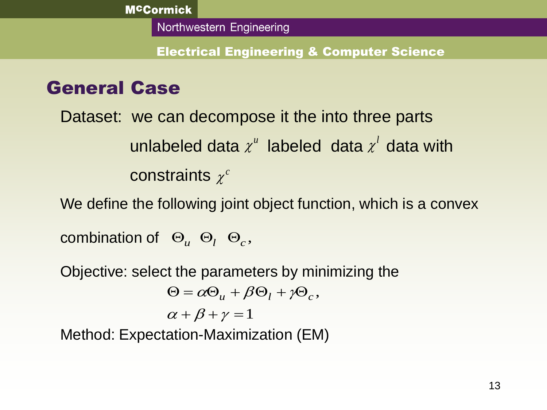Electrical Engineering & Computer Science

### General Case

Dataset: we can decompose it the into three parts **unlabeled data**  $\chi^u$  **labeled data**  $\chi^l$  **data with constraints**  $\chi^c$  $\chi$ *l*  $\chi$  $\chi$ 

We define the following joint object function, which is a convex

combination of  $\Theta_u$   $\Theta_l$   $\Theta_c$ ,

Objective: select the parameters by minimizing the

$$
\Theta_u \Theta_l \Theta_c,
$$
  
at the parameters by mir  

$$
\Theta = \alpha \Theta_u + \beta \Theta_l + \gamma \Theta_c,
$$
  

$$
\alpha + \beta + \gamma = 1
$$

$$
\alpha + \beta + \gamma = 1
$$

Method: Expectation-Maximization (EM)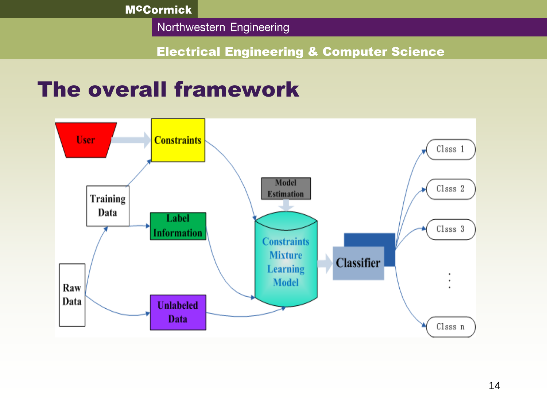Northwestern Engineering

#### Electrical Engineering & Computer Science

## The overall framework

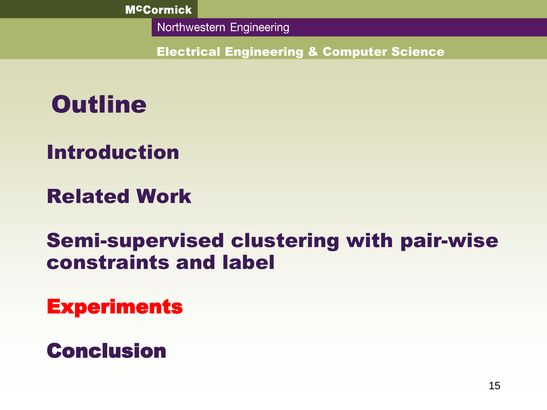Northwestern Engineering

Electrical Engineering & Computer Science

## **Outline**

## Introduction

## Related Work

## Semi-supervised clustering with pair-wise constraints and label

**Experiments**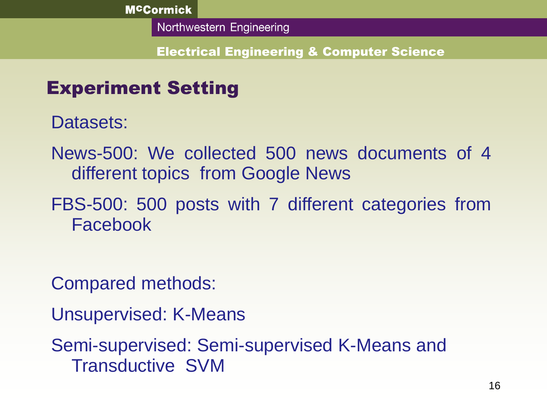Electrical Engineering & Computer Science

### Experiment Setting

Datasets:

News-500: We collected 500 news documents of 4 different topics from Google News

FBS-500: 500 posts with 7 different categories from Facebook

Compared methods:

Unsupervised: K-Means

Semi-supervised: Semi-supervised K-Means and Transductive SVM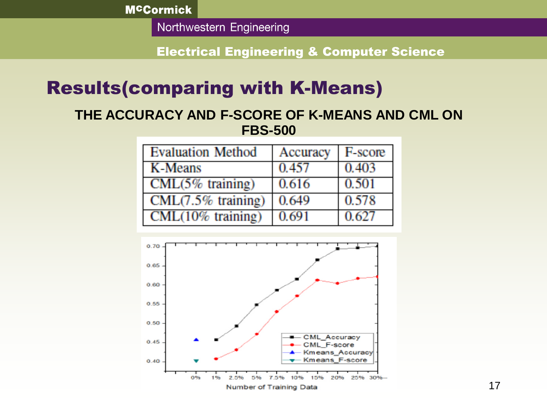Northwestern Engineering

Electrical Engineering & Computer Science

#### Results(comparing with K-Means)

#### **THE ACCURACY AND F-SCORE OF K-MEANS AND CML ON FBS-500**

| <b>Evaluation Method</b> | Accuracy | F-score |
|--------------------------|----------|---------|
| K-Means                  | 0.457    | 0.403   |
| $CML(5%$ training)       | 0.616    | 0.501   |
| $CML(7.5\%$ training)    | 0.649    | 0.578   |
| $CML(10\%$ training)     | 0.691    | 0.627   |

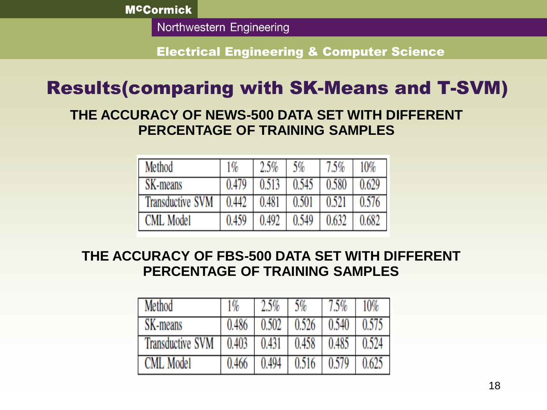Northwestern Engineering

Electrical Engineering & Computer Science

### Results(comparing with SK-Means and T-SVM)

#### **THE ACCURACY OF NEWS-500 DATA SET WITH DIFFERENT PERCENTAGE OF TRAINING SAMPLES**

| Method                  | $1\%$ | 2.5%  | 5%    | $7.5\%$ | 10%   |
|-------------------------|-------|-------|-------|---------|-------|
| SK-means                | 0.479 | 0.513 | 0.545 | 0.580   | 0.629 |
| <b>Transductive SVM</b> | 0.442 | 0.481 | 0.501 | 0.521   | 0.576 |
| <b>CML Model</b>        | 0.459 | 0.492 | 0.549 | 0.632   | 0.682 |

#### **THE ACCURACY OF FBS-500 DATA SET WITH DIFFERENT PERCENTAGE OF TRAINING SAMPLES**

| Method                  | 1%    | 2.5%  | 5%    | 5%    | 10%   |
|-------------------------|-------|-------|-------|-------|-------|
| SK-means                | 0.486 | 0.502 | 0.526 | 0.540 | 0.575 |
| <b>Transductive SVM</b> | 0.403 | 0.431 | 0.458 | 0.485 | 0.524 |
| <b>CML Model</b>        | 0.466 | 0.494 | 0.516 | 0.579 |       |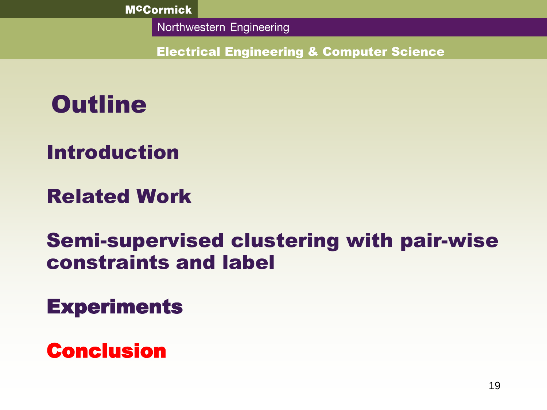Northwestern Engineering

Electrical Engineering & Computer Science

## **Outline**

## Introduction

## Related Work

## Semi-supervised clustering with pair-wise constraints and label

## **Experiments**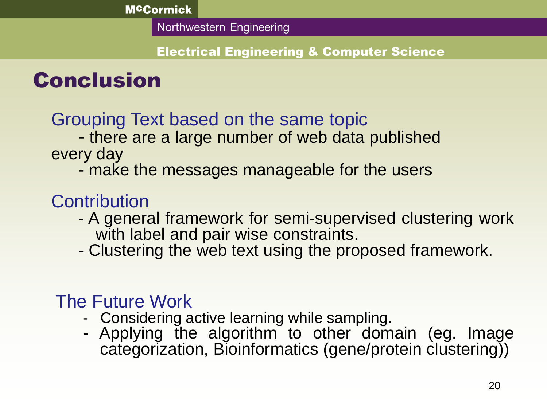#### Electrical Engineering & Computer Science

## Conclusion

#### Grouping Text based on the same topic

- there are a large number of web data published every day

- make the messages manageable for the users

### **Contribution**

- A general framework for semi-supervised clustering work with label and pair wise constraints.
- Clustering the web text using the proposed framework.

### The Future Work

- Considering active learning while sampling.
- Applying the algorithm to other domain (eg. Image categorization, Bioinformatics (gene/protein clustering))